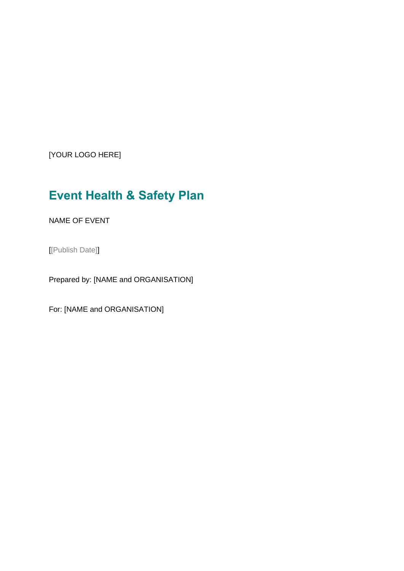[YOUR LOGO HERE]

# **Event Health & Safety Plan**

NAME OF EVENT

[[Publish Date]]

Prepared by: [NAME and ORGANISATION]

For: [NAME and ORGANISATION]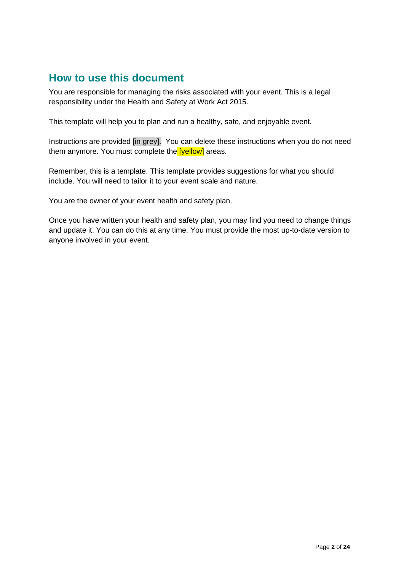## **How to use this document**

You are responsible for managing the risks associated with your event. This is a legal responsibility under the Health and Safety at Work Act 2015.

This template will help you to plan and run a healthy, safe, and enjoyable event.

Instructions are provided [in grey]. You can delete these instructions when you do not need them anymore. You must complete the **[yellow]** areas.

Remember, this is a template. This template provides suggestions for what you should include. You will need to tailor it to your event scale and nature.

You are the owner of your event health and safety plan.

Once you have written your health and safety plan, you may find you need to change things and update it. You can do this at any time. You must provide the most up-to-date version to anyone involved in your event.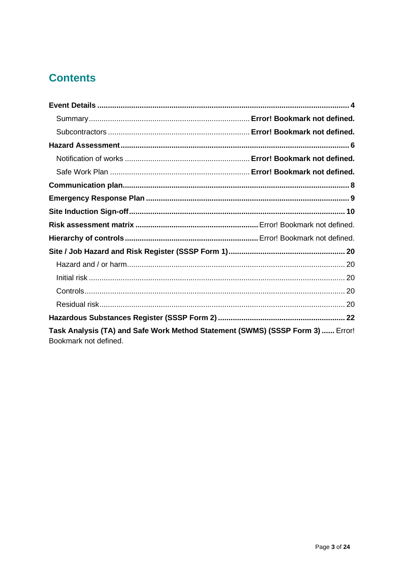# **Contents**

| Task Analysis (TA) and Safe Work Method Statement (SWMS) (SSSP Form 3)  Error!<br>Bookmark not defined. |  |
|---------------------------------------------------------------------------------------------------------|--|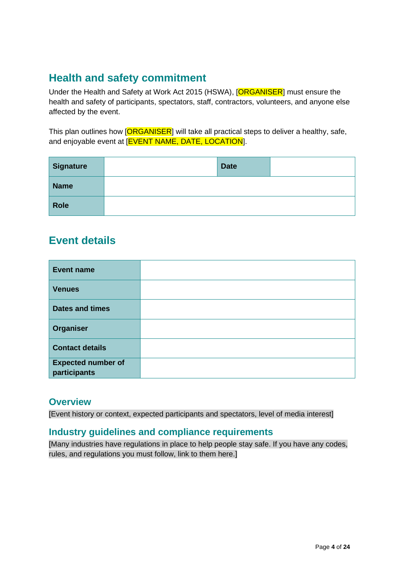# <span id="page-3-0"></span>**Health and safety commitment**

Under the Health and Safety at Work Act 2015 (HSWA), [ORGANISER] must ensure the health and safety of participants, spectators, staff, contractors, volunteers, and anyone else affected by the event.

This plan outlines how [ORGANISER] will take all practical steps to deliver a healthy, safe, and enjoyable event at [EVENT NAME, DATE, LOCATION].

| <b>Signature</b> | <b>Date</b> |  |
|------------------|-------------|--|
| <b>Name</b>      |             |  |
| <b>Role</b>      |             |  |

## **Event details**

| <b>Event name</b>         |  |
|---------------------------|--|
| <b>Venues</b>             |  |
| <b>Dates and times</b>    |  |
| Organiser                 |  |
| <b>Contact details</b>    |  |
| <b>Expected number of</b> |  |
| participants              |  |

### **Overview**

[Event history or context, expected participants and spectators, level of media interest]

### **Industry guidelines and compliance requirements**

[Many industries have regulations in place to help people stay safe. If you have any codes, rules, and regulations you must follow, link to them here.]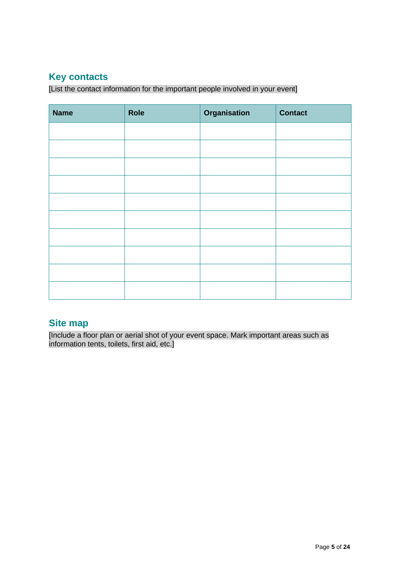### **Key contacts**

[List the contact information for the important people involved in your event]

| <b>Name</b> | Role | Organisation | <b>Contact</b> |
|-------------|------|--------------|----------------|
|             |      |              |                |
|             |      |              |                |
|             |      |              |                |
|             |      |              |                |
|             |      |              |                |
|             |      |              |                |
|             |      |              |                |
|             |      |              |                |
|             |      |              |                |
|             |      |              |                |

### **Site map**

[Include a floor plan or aerial shot of your event space. Mark important areas such as information tents, toilets, first aid, etc.]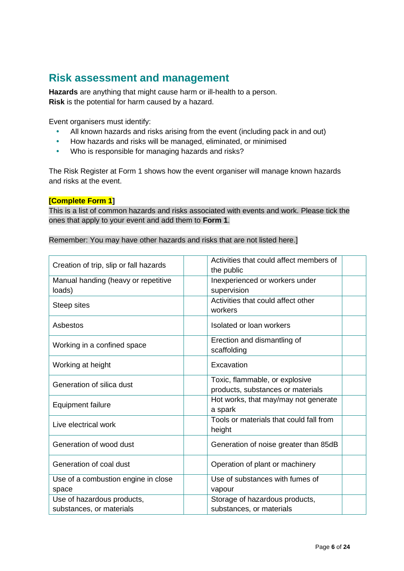## <span id="page-5-0"></span>**Risk assessment and management**

**Hazards** are anything that might cause harm or ill-health to a person. **Risk** is the potential for harm caused by a hazard.

Event organisers must identify:

- All known hazards and risks arising from the event (including pack in and out)
- How hazards and risks will be managed, eliminated, or minimised
- Who is responsible for managing hazards and risks?

The Risk Register at Form 1 shows how the event organiser will manage known hazards and risks at the event.

#### **[Complete Form 1]**

This is a list of common hazards and risks associated with events and work. Please tick the ones that apply to your event and add them to **Form 1**.

| Remember: You may have other hazards and risks that are not listed here.] |
|---------------------------------------------------------------------------|
|---------------------------------------------------------------------------|

| Creation of trip, slip or fall hazards        | Activities that could affect members of<br>the public               |
|-----------------------------------------------|---------------------------------------------------------------------|
| Manual handing (heavy or repetitive<br>loads) | Inexperienced or workers under<br>supervision                       |
| Steep sites                                   | Activities that could affect other<br>workers                       |
| Asbestos                                      | Isolated or loan workers                                            |
| Working in a confined space                   | Erection and dismantling of<br>scaffolding                          |
| Working at height                             | Excavation                                                          |
| Generation of silica dust                     | Toxic, flammable, or explosive<br>products, substances or materials |
| <b>Equipment failure</b>                      | Hot works, that may/may not generate<br>a spark                     |
| Live electrical work                          | Tools or materials that could fall from<br>height                   |
| Generation of wood dust                       | Generation of noise greater than 85dB                               |
| Generation of coal dust                       | Operation of plant or machinery                                     |
| Use of a combustion engine in close           | Use of substances with fumes of                                     |
| space                                         | vapour                                                              |
| Use of hazardous products,                    | Storage of hazardous products,                                      |
| substances, or materials                      | substances, or materials                                            |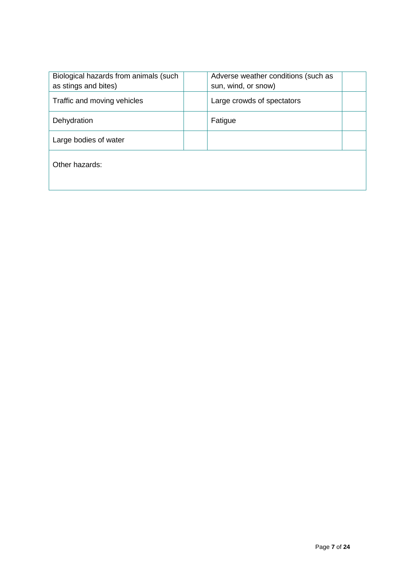<span id="page-6-0"></span>

| Biological hazards from animals (such<br>as stings and bites) | Adverse weather conditions (such as<br>sun, wind, or snow) |  |
|---------------------------------------------------------------|------------------------------------------------------------|--|
| Traffic and moving vehicles                                   | Large crowds of spectators                                 |  |
| Dehydration                                                   | Fatigue                                                    |  |
| Large bodies of water                                         |                                                            |  |
| Other hazards:                                                |                                                            |  |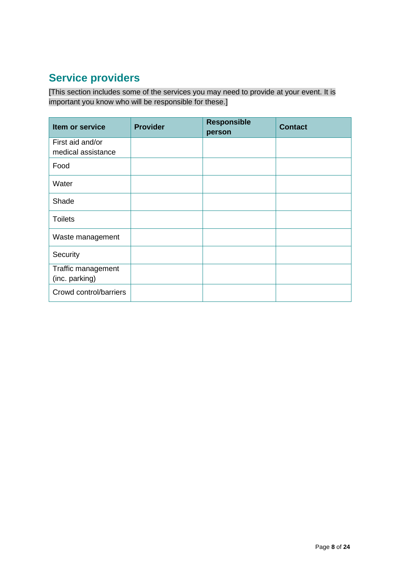# **Service providers**

[This section includes some of the services you may need to provide at your event. It is important you know who will be responsible for these.]

| Item or service                        | <b>Provider</b> | <b>Responsible</b><br>person | <b>Contact</b> |
|----------------------------------------|-----------------|------------------------------|----------------|
| First aid and/or<br>medical assistance |                 |                              |                |
| Food                                   |                 |                              |                |
| Water                                  |                 |                              |                |
| Shade                                  |                 |                              |                |
| <b>Toilets</b>                         |                 |                              |                |
| Waste management                       |                 |                              |                |
| Security                               |                 |                              |                |
| Traffic management<br>(inc. parking)   |                 |                              |                |
| Crowd control/barriers                 |                 |                              |                |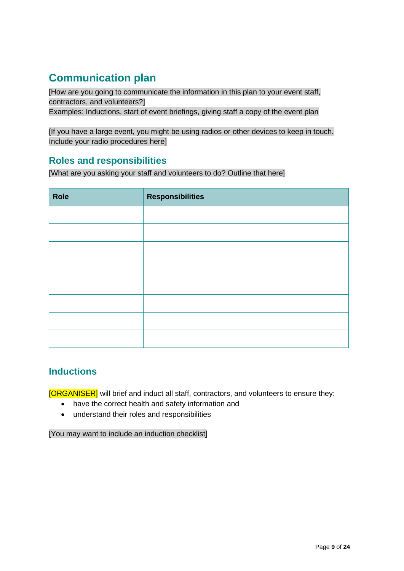# **Communication plan**

<span id="page-8-0"></span>[How are you going to communicate the information in this plan to your event staff, contractors, and volunteers?] Examples: Inductions, start of event briefings, giving staff a copy of the event plan

[If you have a large event, you might be using radios or other devices to keep in touch. Include your radio procedures here]

### **Roles and responsibilities**

[What are you asking your staff and volunteers to do? Outline that here]

| <b>Role</b> | <b>Responsibilities</b> |
|-------------|-------------------------|
|             |                         |
|             |                         |
|             |                         |
|             |                         |
|             |                         |
|             |                         |
|             |                         |
|             |                         |

### **Inductions**

[ORGANISER] will brief and induct all staff, contractors, and volunteers to ensure they:

- have the correct health and safety information and
- understand their roles and responsibilities

[You may want to include an induction checklist]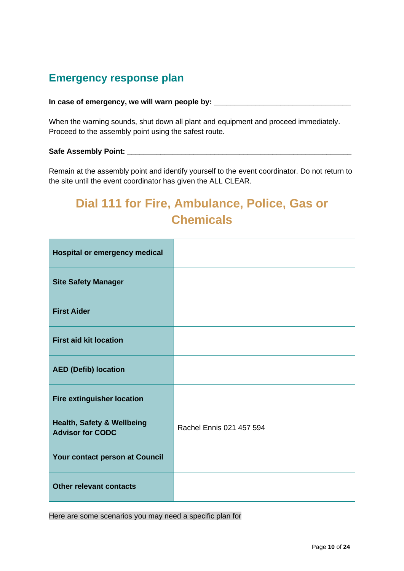# **Emergency response plan**

#### **In case of emergency, we will warn people by: \_\_\_\_\_\_\_\_\_\_\_\_\_\_\_\_\_\_\_\_\_\_\_\_\_\_\_\_\_\_\_\_\_**

When the warning sounds, shut down all plant and equipment and proceed immediately. Proceed to the assembly point using the safest route.

#### **Safe Assembly Point: \_\_\_\_\_\_\_\_\_\_\_\_\_\_\_\_\_\_\_\_\_\_\_\_\_\_\_\_\_\_\_\_\_\_\_\_\_\_\_\_\_\_\_\_\_\_\_\_\_\_\_\_\_\_**

Remain at the assembly point and identify yourself to the event coordinator. Do not return to the site until the event coordinator has given the ALL CLEAR.

# **Dial 111 for Fire, Ambulance, Police, Gas or Chemicals**

| <b>Hospital or emergency medical</b>                             |                          |
|------------------------------------------------------------------|--------------------------|
| <b>Site Safety Manager</b>                                       |                          |
| <b>First Aider</b>                                               |                          |
| <b>First aid kit location</b>                                    |                          |
| <b>AED (Defib) location</b>                                      |                          |
| Fire extinguisher location                                       |                          |
| <b>Health, Safety &amp; Wellbeing</b><br><b>Advisor for CODC</b> | Rachel Ennis 021 457 594 |
| Your contact person at Council                                   |                          |
| <b>Other relevant contacts</b>                                   |                          |

<span id="page-9-0"></span>Here are some scenarios you may need a specific plan for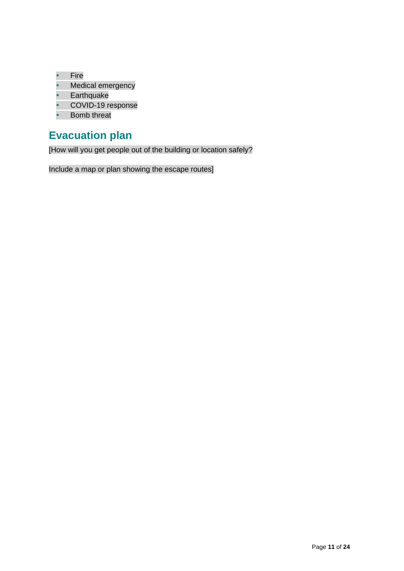- Fire
- Medical emergency
- Earthquake
- COVID-19 response
- Bomb threat

# **Evacuation plan**

[How will you get people out of the building or location safely?

Include a map or plan showing the escape routes]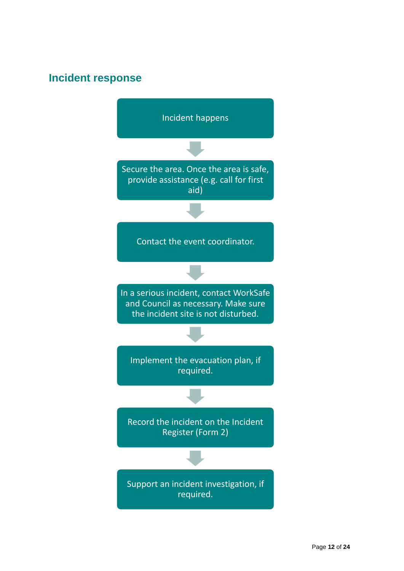## **Incident response**

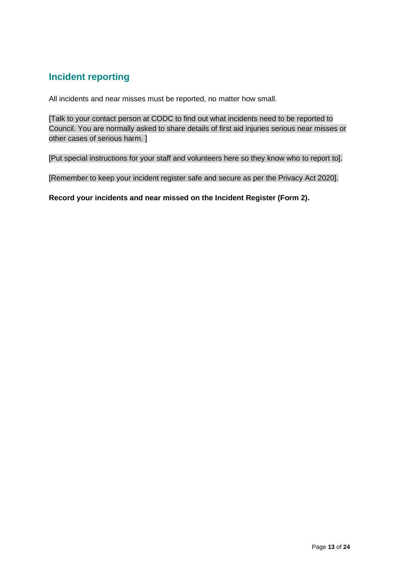### **Incident reporting**

All incidents and near misses must be reported, no matter how small.

[Talk to your contact person at CODC to find out what incidents need to be reported to Council. You are normally asked to share details of first aid injuries serious near misses or other cases of serious harm. ]

[Put special instructions for your staff and volunteers here so they know who to report to].

[Remember to keep your incident register safe and secure as per the Privacy Act 2020].

**Record your incidents and near missed on the Incident Register (Form 2).**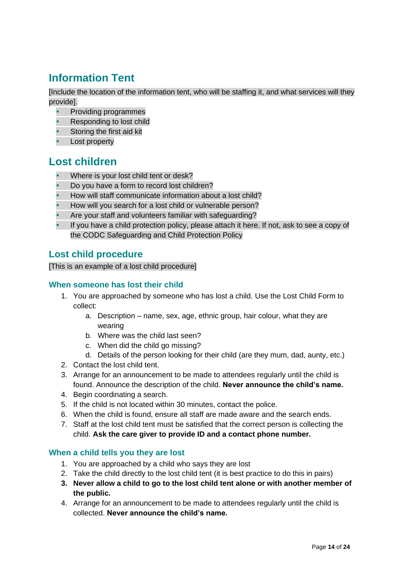# **Information Tent**

[Include the location of the information tent, who will be staffing it, and what services will they provide].

- Providing programmes
- Responding to lost child
- Storing the first aid kit
- Lost property

### **Lost children**

- Where is your lost child tent or desk?
- Do you have a form to record lost children?
- How will staff communicate information about a lost child?
- How will you search for a lost child or vulnerable person?
- Are your staff and volunteers familiar with safeguarding?
- If you have a child protection policy, please attach it here. If not, ask to see a copy of the CODC Safeguarding and Child Protection Policy

### **Lost child procedure**

[This is an example of a lost child procedure]

#### **When someone has lost their child**

- 1. You are approached by someone who has lost a child. Use the Lost Child Form to collect:
	- a. Description name, sex, age, ethnic group, hair colour, what they are wearing
	- b. Where was the child last seen?
	- c. When did the child go missing?
	- d. Details of the person looking for their child (are they mum, dad, aunty, etc.)
- 2. Contact the lost child tent.
- 3. Arrange for an announcement to be made to attendees regularly until the child is found. Announce the description of the child. **Never announce the child's name.**
- 4. Begin coordinating a search.
- 5. If the child is not located within 30 minutes, contact the police.
- 6. When the child is found, ensure all staff are made aware and the search ends.
- 7. Staff at the lost child tent must be satisfied that the correct person is collecting the child. **Ask the care giver to provide ID and a contact phone number.**

#### **When a child tells you they are lost**

- 1. You are approached by a child who says they are lost
- 2. Take the child directly to the lost child tent (it is best practice to do this in pairs)
- **3. Never allow a child to go to the lost child tent alone or with another member of the public.**
- 4. Arrange for an announcement to be made to attendees regularly until the child is collected. **Never announce the child's name.**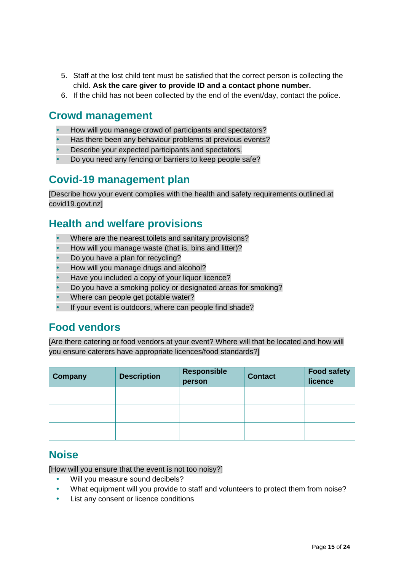- 5. Staff at the lost child tent must be satisfied that the correct person is collecting the child. **Ask the care giver to provide ID and a contact phone number.**
- 6. If the child has not been collected by the end of the event/day, contact the police.

### **Crowd management**

- How will you manage crowd of participants and spectators?
- Has there been any behaviour problems at previous events?
- Describe your expected participants and spectators.
- Do you need any fencing or barriers to keep people safe?

### **Covid-19 management plan**

[Describe how your event complies with the health and safety requirements outlined at covid19.govt.nz]

### **Health and welfare provisions**

- Where are the nearest toilets and sanitary provisions?
- How will you manage waste (that is, bins and litter)?
- Do you have a plan for recycling?
- How will you manage drugs and alcohol?
- Have you included a copy of your liquor licence?
- Do you have a smoking policy or designated areas for smoking?
- Where can people get potable water?
- If your event is outdoors, where can people find shade?

### **Food vendors**

[Are there catering or food vendors at your event? Where will that be located and how will you ensure caterers have appropriate licences/food standards?]

| Company | <b>Description</b> | <b>Responsible</b><br>person | <b>Contact</b> | <b>Food safety</b><br>licence |
|---------|--------------------|------------------------------|----------------|-------------------------------|
|         |                    |                              |                |                               |
|         |                    |                              |                |                               |
|         |                    |                              |                |                               |

### **Noise**

[How will you ensure that the event is not too noisy?]

- Will you measure sound decibels?
- What equipment will you provide to staff and volunteers to protect them from noise?
- List any consent or licence conditions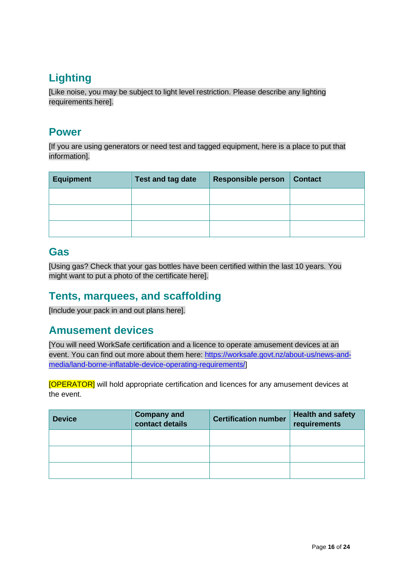# **Lighting**

[Like noise, you may be subject to light level restriction. Please describe any lighting requirements here].

### **Power**

[If you are using generators or need test and tagged equipment, here is a place to put that information].

| <b>Equipment</b> | Test and tag date | <b>Responsible person</b> | <b>Contact</b> |
|------------------|-------------------|---------------------------|----------------|
|                  |                   |                           |                |
|                  |                   |                           |                |
|                  |                   |                           |                |

### **Gas**

[Using gas? Check that your gas bottles have been certified within the last 10 years. You might want to put a photo of the certificate here].

## **Tents, marquees, and scaffolding**

[Include your pack in and out plans here].

### **Amusement devices**

[You will need WorkSafe certification and a licence to operate amusement devices at an event. You can find out more about them here: [https://worksafe.govt.nz/about-us/news-and](https://worksafe.govt.nz/about-us/news-and-media/land-borne-inflatable-device-operating-requirements/)[media/land-borne-inflatable-device-operating-requirements/\]](https://worksafe.govt.nz/about-us/news-and-media/land-borne-inflatable-device-operating-requirements/)

[OPERATOR] will hold appropriate certification and licences for any amusement devices at the event.

| <b>Device</b> | <b>Company and</b><br>contact details | <b>Certification number</b> | <b>Health and safety</b><br>requirements |  |
|---------------|---------------------------------------|-----------------------------|------------------------------------------|--|
|               |                                       |                             |                                          |  |
|               |                                       |                             |                                          |  |
|               |                                       |                             |                                          |  |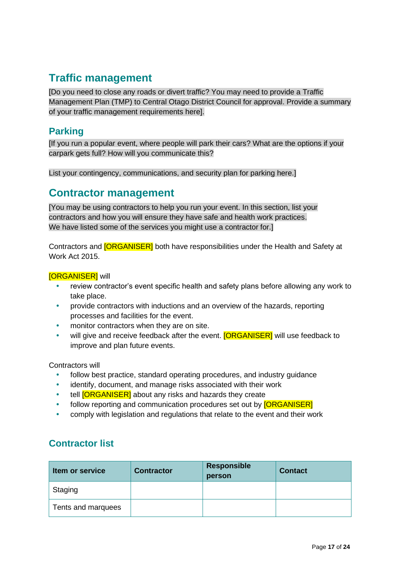## **Traffic management**

[Do you need to close any roads or divert traffic? You may need to provide a Traffic Management Plan (TMP) to Central Otago District Council for approval. Provide a summary of your traffic management requirements here].

### **Parking**

[If you run a popular event, where people will park their cars? What are the options if your carpark gets full? How will you communicate this?

List your contingency, communications, and security plan for parking here.]

### **Contractor management**

[You may be using contractors to help you run your event. In this section, list your contractors and how you will ensure they have safe and health work practices. We have listed some of the services you might use a contractor for.]

Contractors and **[ORGANISER]** both have responsibilities under the Health and Safety at Work Act 2015.

#### [ORGANISER] will

- review contractor's event specific health and safety plans before allowing any work to take place.
- provide contractors with inductions and an overview of the hazards, reporting processes and facilities for the event.
- monitor contractors when they are on site.
- will give and receive feedback after the event. **[ORGANISER]** will use feedback to improve and plan future events.

Contractors will

- follow best practice, standard operating procedures, and industry guidance
- identify, document, and manage risks associated with their work
- tell **[ORGANISER]** about any risks and hazards they create
- follow reporting and communication procedures set out by **[ORGANISER]**
- comply with legislation and regulations that relate to the event and their work

### **Contractor list**

| <b>Item or service</b> | <b>Contractor</b> | <b>Responsible</b><br>person | <b>Contact</b> |
|------------------------|-------------------|------------------------------|----------------|
| Staging                |                   |                              |                |
| Tents and marquees     |                   |                              |                |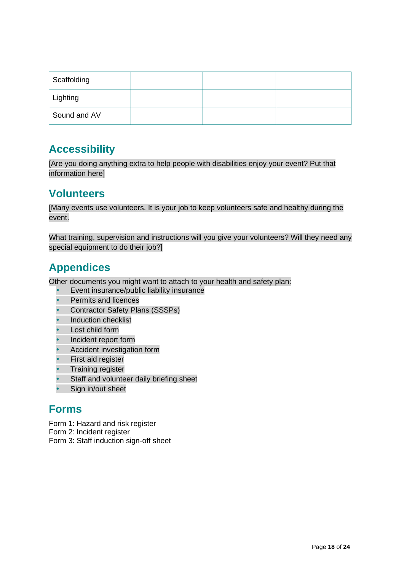| Scaffolding  |  |  |
|--------------|--|--|
| Lighting     |  |  |
| Sound and AV |  |  |

## **Accessibility**

[Are you doing anything extra to help people with disabilities enjoy your event? Put that information here]

## **Volunteers**

[Many events use volunteers. It is your job to keep volunteers safe and healthy during the event.

What training, supervision and instructions will you give your volunteers? Will they need any special equipment to do their job?]

# **Appendices**

Other documents you might want to attach to your health and safety plan:

- Event insurance/public liability insurance
- Permits and licences
- Contractor Safety Plans (SSSPs)
- Induction checklist
- Lost child form
- Incident report form
- Accident investigation form
- First aid register
- Training register
- Staff and volunteer daily briefing sheet
- Sign in/out sheet

### **Forms**

Form 1: Hazard and risk register

- Form 2: Incident register
- Form 3: Staff induction sign-off sheet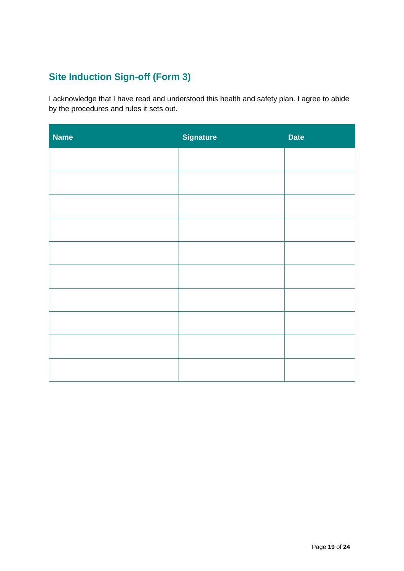# **Site Induction Sign-off (Form 3)**

I acknowledge that I have read and understood this health and safety plan. I agree to abide by the procedures and rules it sets out.

| <b>Name</b> | <b>Signature</b> | <b>Date</b> |
|-------------|------------------|-------------|
|             |                  |             |
|             |                  |             |
|             |                  |             |
|             |                  |             |
|             |                  |             |
|             |                  |             |
|             |                  |             |
|             |                  |             |
|             |                  |             |
|             |                  |             |
|             |                  |             |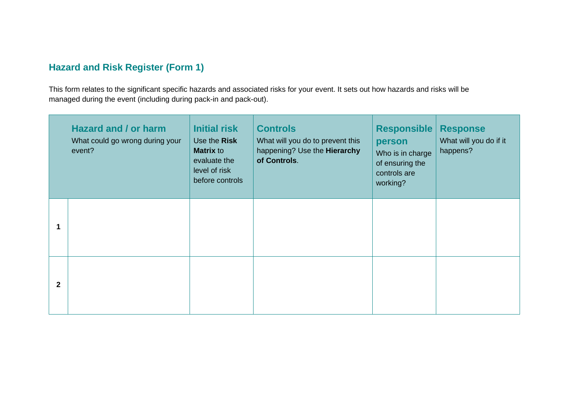### **Hazard and Risk Register (Form 1)**

This form relates to the significant specific hazards and associated risks for your event. It sets out how hazards and risks will be managed during the event (including during pack-in and pack-out).

<span id="page-19-4"></span><span id="page-19-3"></span><span id="page-19-2"></span><span id="page-19-1"></span><span id="page-19-0"></span>

|              | <b>Hazard and / or harm</b><br>What could go wrong during your<br>event? | <b>Initial risk</b><br>Use the Risk<br><b>Matrix to</b><br>evaluate the<br>level of risk<br>before controls | <b>Controls</b><br>What will you do to prevent this<br>happening? Use the Hierarchy<br>of Controls. | <b>Responsible</b><br>person<br>Who is in charge<br>of ensuring the<br>controls are<br>working? | <b>Response</b><br>What will you do if it<br>happens? |
|--------------|--------------------------------------------------------------------------|-------------------------------------------------------------------------------------------------------------|-----------------------------------------------------------------------------------------------------|-------------------------------------------------------------------------------------------------|-------------------------------------------------------|
| 1            |                                                                          |                                                                                                             |                                                                                                     |                                                                                                 |                                                       |
| $\mathbf{2}$ |                                                                          |                                                                                                             |                                                                                                     |                                                                                                 |                                                       |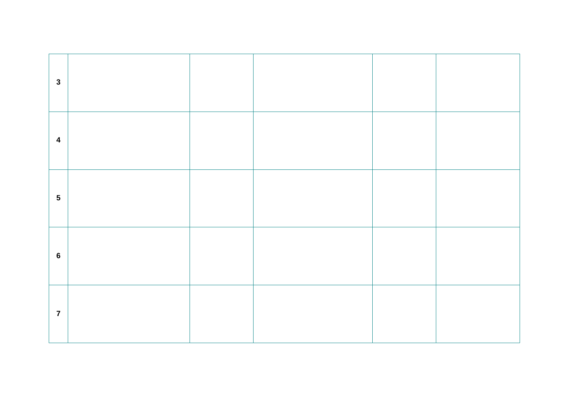| $\mathbf{3}$            |  |  |  |
|-------------------------|--|--|--|
| $\overline{\mathbf{4}}$ |  |  |  |
| $5\phantom{1}$          |  |  |  |
| $6\phantom{1}6$         |  |  |  |
| $\overline{7}$          |  |  |  |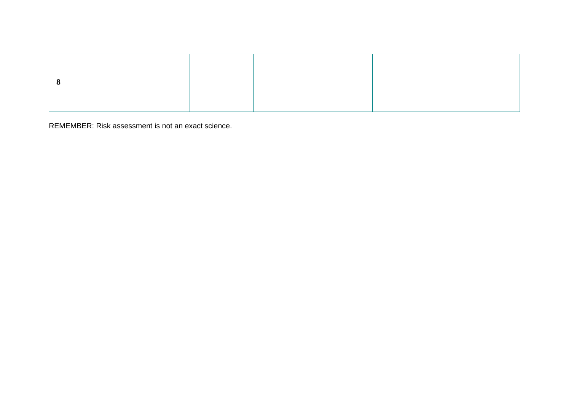<span id="page-21-0"></span>REMEMBER: Risk assessment is not an exact science.